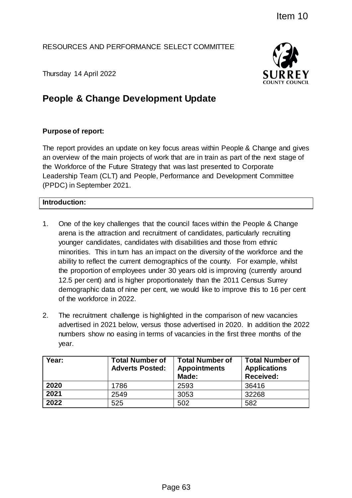## RESOURCES AND PERFORMANCE SELECT COMMITTEE



Thursday 14 April 2022

# **People & Change Development Update**

# **Purpose of report:**

The report provides an update on key focus areas within People & Change and gives an overview of the main projects of work that are in train as part of the next stage of the Workforce of the Future Strategy that was last presented to Corporate Leadership Team (CLT) and People, Performance and Development Committee (PPDC) in September 2021.

## **Introduction:**

- 1. One of the key challenges that the council faces within the People & Change arena is the attraction and recruitment of candidates, particularly recruiting younger candidates, candidates with disabilities and those from ethnic minorities. This in turn has an impact on the diversity of the workforce and the ability to reflect the current demographics of the county. For example, whilst the proportion of employees under 30 years old is improving (currently around 12.5 per cent) and is higher proportionately than the 2011 Census Surrey demographic data of nine per cent, we would like to improve this to 16 per cent of the workforce in 2022. Item 10<br>
SELECT COMMITTEE<br>
SURREY<br>
SURREY<br>
The SURREY<br>
The SURREY<br>
The SURREY<br>
SURREY<br>
The SURREY<br>
SURREY<br>
The Survey of the next stage of<br>
that was last presented to Corporate<br>
Performance and Development Committee<br>
Perfo
- 2. The recruitment challenge is highlighted in the comparison of new vacancies advertised in 2021 below, versus those advertised in 2020. In addition the 2022 numbers show no easing in terms of vacancies in the first three months of the year.

| Year: | <b>Total Number of</b><br><b>Adverts Posted:</b> | <b>Total Number of</b><br><b>Appointments</b><br>Made: | <b>Total Number of</b><br><b>Applications</b><br><b>Received:</b> |
|-------|--------------------------------------------------|--------------------------------------------------------|-------------------------------------------------------------------|
| 2020  | 1786                                             | 2593                                                   | 36416                                                             |
| 2021  | 2549                                             | 3053                                                   | 32268                                                             |
| 2022  | 525                                              | 502                                                    | 582                                                               |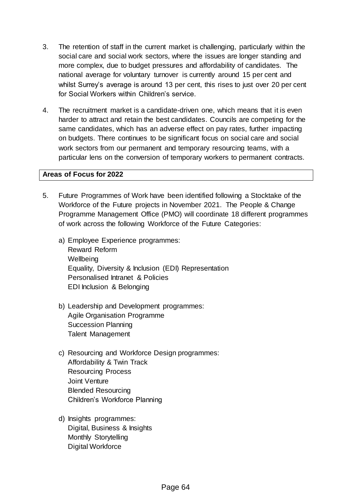- 3. The retention of staff in the current market is challenging, particularly within the social care and social work sectors, where the issues are longer standing and more complex, due to budget pressures and affordability of candidates. The national average for voluntary turnover is currently around 15 per cent and whilst Surrey's average is around 13 per cent, this rises to just over 20 per cent for Social Workers within Children's service.
- 4. The recruitment market is a candidate-driven one, which means that it is even harder to attract and retain the best candidates. Councils are competing for the same candidates, which has an adverse effect on pay rates, further impacting on budgets. There continues to be significant focus on social care and social work sectors from our permanent and temporary resourcing teams, with a particular lens on the conversion of temporary workers to permanent contracts.

## **Areas of Focus for 2022**

- 5. Future Programmes of Work have been identified following a Stocktake of the Workforce of the Future projects in November 2021. The People & Change Programme Management Office (PMO) will coordinate 18 different programmes of work across the following Workforce of the Future Categories:
	- a) Employee Experience programmes: Reward Reform **Wellbeing** Equality, Diversity & Inclusion (EDI) Representation Personalised Intranet & Policies EDI Inclusion & Belonging
	- b) Leadership and Development programmes: Agile Organisation Programme Succession Planning Talent Management
	- c) Resourcing and Workforce Design programmes: Affordability & Twin Track Resourcing Process Joint Venture Blended Resourcing Children's Workforce Planning
	- d) Insights programmes: Digital, Business & Insights Monthly Storytelling Digital Workforce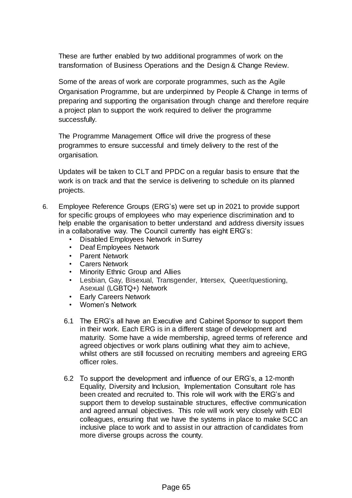These are further enabled by two additional programmes of work on the transformation of Business Operations and the Design & Change Review.

Some of the areas of work are corporate programmes, such as the Agile Organisation Programme, but are underpinned by People & Change in terms of preparing and supporting the organisation through change and therefore require a project plan to support the work required to deliver the programme successfully.

The Programme Management Office will drive the progress of these programmes to ensure successful and timely delivery to the rest of the organisation.

Updates will be taken to CLT and PPDC on a regular basis to ensure that the work is on track and that the service is delivering to schedule on its planned projects.

- 6. Employee Reference Groups (ERG's) were set up in 2021 to provide support for specific groups of employees who may experience discrimination and to help enable the organisation to better understand and address diversity issues in a collaborative way. The Council currently has eight ERG's:
	- Disabled Employees Network in Surrey
	- Deaf Employees Network
	- Parent Network
	- Carers Network
	- Minority Ethnic Group and Allies
	- Lesbian, Gay, Bisexual, Transgender, Intersex, Queer/questioning, Asexual (LGBTQ+) Network
	- Early Careers Network
	- Women's Network
	- 6.1 The ERG's all have an Executive and Cabinet Sponsor to support them in their work. Each ERG is in a different stage of development and maturity. Some have a wide membership, agreed terms of reference and agreed objectives or work plans outlining what they aim to achieve, whilst others are still focussed on recruiting members and agreeing ERG officer roles.
	- 6.2 To support the development and influence of our ERG's, a 12-month Equality, Diversity and Inclusion, Implementation Consultant role has been created and recruited to. This role will work with the ERG's and support them to develop sustainable structures, effective communication and agreed annual objectives. This role will work very closely with EDI colleagues, ensuring that we have the systems in place to make SCC an inclusive place to work and to assist in our attraction of candidates from more diverse groups across the county.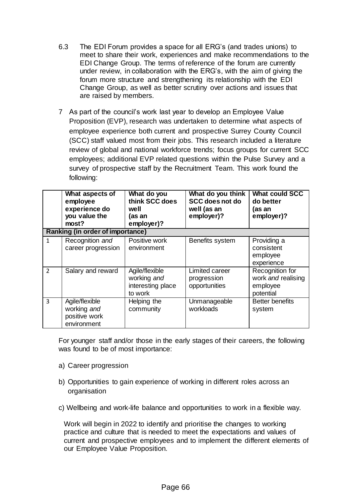- 6.3 The EDI Forum provides a space for all ERG's (and trades unions) to meet to share their work, experiences and make recommendations to the EDI Change Group. The terms of reference of the forum are currently under review, in collaboration with the ERG's, with the aim of giving the forum more structure and strengthening its relationship with the EDI Change Group, as well as better scrutiny over actions and issues that are raised by members.
- 7 As part of the council's work last year to develop an Employee Value Proposition (EVP), research was undertaken to determine what aspects of employee experience both current and prospective Surrey County Council (SCC) staff valued most from their jobs. This research included a literature review of global and national workforce trends; focus groups for current SCC employees; additional EVP related questions within the Pulse Survey and a survey of prospective staff by the Recruitment Team. This work found the following:

|                                         | What aspects of<br>employee<br>experience do<br>you value the<br>most? | What do you<br>think SCC does<br>well<br>(as an<br>employer)? | What do you think<br><b>SCC does not do</b><br>well (as an<br>employer)? | <b>What could SCC</b><br>do better<br>(as an<br>employer)?     |  |  |
|-----------------------------------------|------------------------------------------------------------------------|---------------------------------------------------------------|--------------------------------------------------------------------------|----------------------------------------------------------------|--|--|
| <b>Ranking (in order of importance)</b> |                                                                        |                                                               |                                                                          |                                                                |  |  |
| $\mathbf{1}$                            | Recognition and<br>career progression                                  | Positive work<br>environment                                  | Benefits system                                                          | Providing a<br>consistent<br>employee<br>experience            |  |  |
| $\overline{2}$                          | Salary and reward                                                      | Agile/flexible<br>working and<br>interesting place<br>to work | Limited career<br>progression<br>opportunities                           | Recognition for<br>work and realising<br>employee<br>potential |  |  |
| 3                                       | Agile/flexible<br>working and<br>positive work<br>environment          | Helping the<br>community                                      | Unmanageable<br>workloads                                                | <b>Better benefits</b><br>system                               |  |  |

For younger staff and/or those in the early stages of their careers, the following was found to be of most importance:

- a) Career progression
- b) Opportunities to gain experience of working in different roles across an organisation
- c) Wellbeing and work-life balance and opportunities to work in a flexible way.

Work will begin in 2022 to identify and prioritise the changes to working practice and culture that is needed to meet the expectations and values of current and prospective employees and to implement the different elements of our Employee Value Proposition.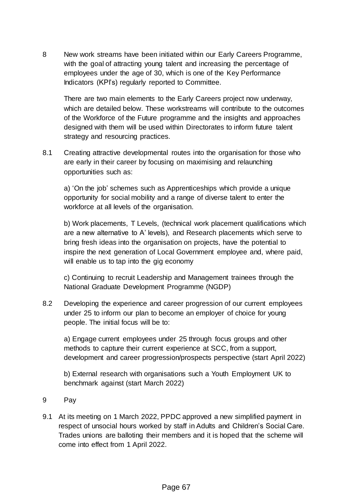8 New work streams have been initiated within our Early Careers Programme, with the goal of attracting young talent and increasing the percentage of employees under the age of 30, which is one of the Key Performance Indicators (KPI's) regularly reported to Committee.

There are two main elements to the Early Careers project now underway, which are detailed below. These workstreams will contribute to the outcomes of the Workforce of the Future programme and the insights and approaches designed with them will be used within Directorates to inform future talent strategy and resourcing practices.

8.1 Creating attractive developmental routes into the organisation for those who are early in their career by focusing on maximising and relaunching opportunities such as:

a) 'On the job' schemes such as Apprenticeships which provide a unique opportunity for social mobility and a range of diverse talent to enter the workforce at all levels of the organisation.

b) Work placements, T Levels, (technical work placement qualifications which are a new alternative to A' levels), and Research placements which serve to bring fresh ideas into the organisation on projects, have the potential to inspire the next generation of Local Government employee and, where paid, will enable us to tap into the gig economy

c) Continuing to recruit Leadership and Management trainees through the National Graduate Development Programme (NGDP)

8.2 Developing the experience and career progression of our current employees under 25 to inform our plan to become an employer of choice for young people. The initial focus will be to:

a) Engage current employees under 25 through focus groups and other methods to capture their current experience at SCC, from a support, development and career progression/prospects perspective (start April 2022)

b) External research with organisations such a Youth Employment UK to benchmark against (start March 2022)

- 9 Pay
- 9.1 At its meeting on 1 March 2022, PPDC approved a new simplified payment in respect of unsocial hours worked by staff in Adults and Children's Social Care. Trades unions are balloting their members and it is hoped that the scheme will come into effect from 1 April 2022.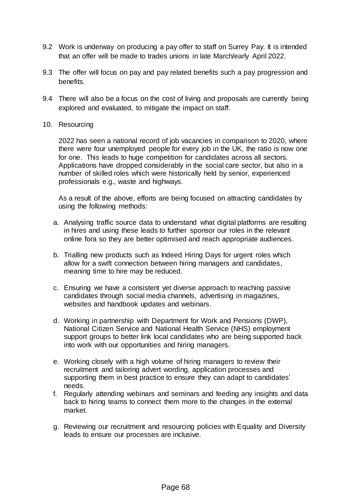- 9.2 Work is underway on producing a pay offer to staff on Surrey Pay. It is intended that an offer will be made to trades unions in late March/early April 2022.
- 9.3 The offer will focus on pay and pay related benefits such a pay progression and benefits.
- 9.4 There will also be a focus on the cost of living and proposals are currently being explored and evaluated, to mitigate the impact on staff.
- 10. Resourcing

2022 has seen a national record of job vacancies in comparison to 2020, where there were four unemployed people for every job in the UK, the ratio is now one for one. This leads to huge competition for candidates across all sectors. Applications have dropped considerably in the social care sector, but also in a number of skilled roles which were historically held by senior, experienced professionals e.g., waste and highways.

As a result of the above, efforts are being focused on attracting candidates by using the following methods:

- a. Analysing traffic source data to understand what digital platforms are resulting in hires and using these leads to further sponsor our roles in the relevant online fora so they are better optimised and reach appropriate audiences.
- b. Trialling new products such as Indeed Hiring Days for urgent roles which allow for a swift connection between hiring managers and candidates, meaning time to hire may be reduced.
- c. Ensuring we have a consistent yet diverse approach to reaching passive candidates through social media channels, advertising in magazines, websites and handbook updates and webinars.
- d. Working in partnership with Department for Work and Pensions (DWP), National Citizen Service and National Health Service (NHS) employment support groups to better link local candidates who are being supported back into work with our opportunities and hiring managers.
- e. Working closely with a high volume of hiring managers to review their recruitment and tailoring advert wording, application processes and supporting them in best practice to ensure they can adapt to candidates' needs.
- f. Regularly attending webinars and seminars and feeding any insights and data back to hiring teams to connect them more to the changes in the external market.
- g. Reviewing our recruitment and resourcing policies with Equality and Diversity leads to ensure our processes are inclusive.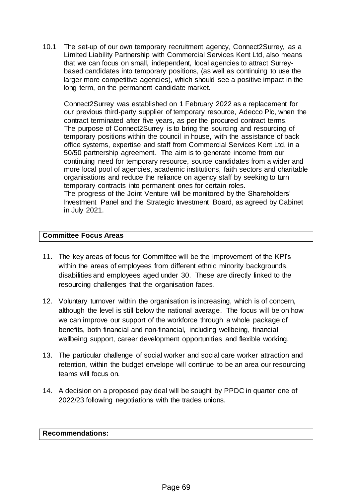10.1 The set-up of our own temporary recruitment agency, Connect2Surrey, as a Limited Liability Partnership with Commercial Services Kent Ltd, also means that we can focus on small, independent, local agencies to attract Surreybased candidates into temporary positions, (as well as continuing to use the larger more competitive agencies), which should see a positive impact in the long term, on the permanent candidate market.

Connect2Surrey was established on 1 February 2022 as a replacement for our previous third-party supplier of temporary resource, Adecco Plc, when the contract terminated after five years, as per the procured contract terms. The purpose of Connect2Surrey is to bring the sourcing and resourcing of temporary positions within the council in house, with the assistance of back office systems, expertise and staff from Commercial Services Kent Ltd, in a 50/50 partnership agreement. The aim is to generate income from our continuing need for temporary resource, source candidates from a wider and more local pool of agencies, academic institutions, faith sectors and charitable organisations and reduce the reliance on agency staff by seeking to turn temporary contracts into permanent ones for certain roles. The progress of the Joint Venture will be monitored by the Shareholders' Investment Panel and the Strategic Investment Board, as agreed by Cabinet in July 2021.

## **Committee Focus Areas**

- 11. The key areas of focus for Committee will be the improvement of the KPI's within the areas of employees from different ethnic minority backgrounds, disabilities and employees aged under 30. These are directly linked to the resourcing challenges that the organisation faces.
- 12. Voluntary turnover within the organisation is increasing, which is of concern, although the level is still below the national average. The focus will be on how we can improve our support of the workforce through a whole package of benefits, both financial and non-financial, including wellbeing, financial wellbeing support, career development opportunities and flexible working.
- 13. The particular challenge of social worker and social care worker attraction and retention, within the budget envelope will continue to be an area our resourcing teams will focus on.
- 14. A decision on a proposed pay deal will be sought by PPDC in quarter one of 2022/23 following negotiations with the trades unions.

#### **Recommendations:**